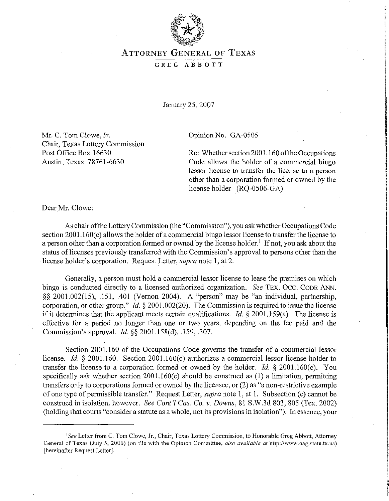

## **ATTORNEY GENERAL OF TEXAS**  GREG ABBOTT

January 25,2007

**Mr. C. Tom Clowe, Jr.**  Chair, Texas Lottery Commission Post Office Box 16630 Austin, Texas 78761-6630

Opinion No. GA-0505

Re: Whether section 2001.160 ofthe Occupations Code allows the holder of a commercial bingo lessor license to transfer the license to a person other than a corporation formed or owned by the license holder (RQ-0506-GA)

**Dear Mr. Clowe:** 

As chair ofthe Lottery Commission (the "Commission"), you askwhether Occupations Code section  $2001.160(c)$  allows the holder of a commercial bingo lessor license to transfer the license to a person other than a corporation formed or owned by the license holder.' If not, you ask about the status of licenses previously transferred with the Commission's approval to persons other than the license holder's corporation. Request Letter, *supra* note 1, at 2.

Generally, a person must hold a commercial lessor license to lease the premises on which bingo is conducted directly to a licensed authorized organization. See **TEX. OCC. CODE ANN.**  \$5 2001.002(15), .151, ,401 (Vernon 2004). A "person" may be "an individual, partnership, corporation, or other group." *Id.* 5 2001.002(20). The Commission is required to issue the license if it determines that the applicant meets certain qualifications. *Id.* 5 2001.159(a). The license is effective for a period no longer than one or two years, depending on the fee paid and the Commission's approval. *Id.* 5s 2001.158(d), .159, ,307.

Section 2001.160 of the Occupations Code governs the transfer of a commercial lessor license. *Id.* 5 2001.160. Section 2001.160(c) authorizes a commercial lessor license holder to transfer the license to a corporation formed or owned by the holder. *Id. § 2001.160(c). You*  specifically ask whether section 2001.160(c) should be construed as (1) a limitation, permitting transfers only to corporations formed or owned by the licensee, or  $(2)$  as "a non-restrictive example of one type of permissible transfer." Request Letter, *supra* note 1, at 1. Subsection (c) cannot be construed in isolation, however. See Cont'l Cas. Co. v. Downs, 81 S.W.3d 803, 805 (Tex. 2002) (holding that courts "consider a statute as a whole, not its provisions in isolation"). In essence, your

<sup>&#</sup>x27;See Letter from C. Tom Clove, Jr., Chair, Texas **Lottery** Commission, to Honorable Greg Abbott, Attorney General of Texas (July 5, 2006) (on file with the Opinion Committee, also *available* al http://www.oag.state.tx.us) [hereinafter Request Letter].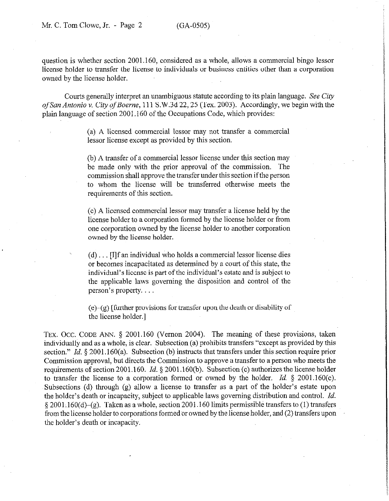question is whether section 2001.160, considered as a whole, allows a commercial bingo lessor license holder to transfer the license to individuals or business entities other than a corporation owned by the license holder.

Courts generally interpret an unambiguous statute according to its plain language. See City of San Antonio v. City of Boerne, 111 S.W.3d 22, 25 (Tex. 2003). Accordingly, we begin with the plain language of section 2001.160 of the Occupations Code, which provides:

> (a) A licensed commercial lessor may not transfer a commercial lessor license except as provided by this section.

> (b) A transfer of a commercial lessor license under this section may be made only with the prior approval of the commission. The commission shall approve the transfer under this section if the person to whom the license will be transferred otherwise meets the requirements of this section.

> (c) A licensed commercial lessor may transfer a license held by the license holder to a corporation formed by the license holder or from one corporation owned by the license holder to another corporation owned by the license holder.

> $(d)$ ... [I]f an individual who holds a commercial lessor license dies or becomes incapacitated as determined by a court of this state, the individual's license is part of the individual's estate and is subject to the applicable laws governing the disposition and control of the person's property.

> $(e)$ - $(g)$  [further provisions for transfer upon the death or disability of the license holder.]

TEX. OCC. CODE ANN. § 2001.160 (Vernon 2004). The meaning of these provisions, taken individually and as a whole, is clear. Subsection (a) prohibits transfers "except as provided by this section." *Id.* § 2001.160(a). Subsection (b) instructs that transfers under this section require prior Commission approval, but directs the Commission to approve a transfer to a person who meets the requirements of section 2001.160. *Id.* 5 2001.160(b). Subsection (c) authorizes the license holder to transfer the license to a corporation formed or owned by the holder. *Id. \$* 2001.160(c). Subsections (d) through (g) allow a license to transfer as a part of the holder's estate upon the holder's death or incapacity; subject to applicable laws governing distribution and control. *Id.*   $\S 2001.160(d)$ –(g). Taken as a whole, section 2001.160 limits permissible transfers to (1) transfers from the license holder to corporations formed or owned by the license holder, and (2) transfers upon the holder's death or incapacity.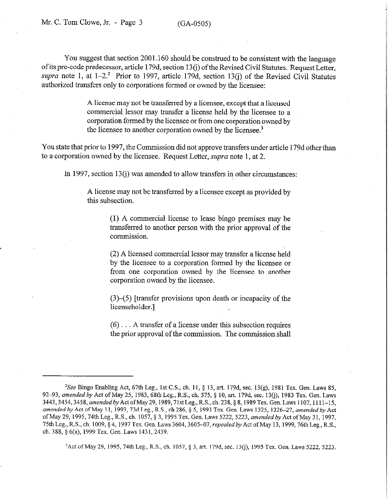You suggest that section 2001.160 should be construed to be consistent with the language of its pre-code predecessor, article 179d, section 13(i) of the Revised Civil Statutes. Request Letter, supra note 1, at  $1-2$ .<sup>2</sup> Prior to 1997, article 179d, section 13(j) of the Revised Civil Statutes authorized transfers only to corporations formed or owned by the licensee:

> A license may not be transferred by a licensee, except that a licensed commercial lessor may transfer a license held by the licensee to a corporation formed by the licensee or from one corporation owned by the licensee to another corporation owned by the licensee.<sup>3</sup>

You state that prior to 1997, the Commission did not approve transfers under article 179d other than to a corporation owned by the licensee. Request Letter, *supra* note 1, at 2.

In 1997, section 13(i) was amended to allow transfers in other circumstances:

A license may not be transferred by a licensee except as provided by this subsection.

> (1) A commercial license to lease bingo premises may be transferred to another person with the prior approval of the commission.

> (2) A licensed commercial lessor may transfer a license held by the licensee to a corporation formed by the licensee or from one corporation owned by the licensee to another corporation owned by the licensee.

> (3)-(5) [transfer provisions upon death or incapacity of the licenseholder.]

> $(6)$ ... A transfer of a license under this subsection requires the prior approval of the commission. The commission shall

 $3$ Act of May 29, 1995, 74th Leg., R.S., ch. 1057, § 3, art. 179d, sec. 13(j), 1995 Tex. Gen. Laws 5222, 5223.

<sup>&</sup>lt;sup>2</sup>See Bingo Enabling Act, 67th Leg., 1st C.S., ch. 11, § 13, art. 179d, sec. 13(g), 1981 Tex. Gen. Laws 85, 92-93, amended by Act of May 25, 1983, 68th Leg., R:S., ch. 575, § 10, art. 179d, sec. 13(j), 1983 Tex. Gen. Laws 3443, 3454, 3458, amended by Act of May 29, 1989, 71st Leg., R.S., ch. 238, § 8, 1989 Tex. Gen. Laws 1107, 1111-15, amended by Act of May 11, 1993, 73d Leg., R.S., ch 286, § 5, 1993 Tex. Gen. Laws 1325, 1326-27, amended by Act ofMay *29, 1995,74th* Leg., R.S., ch. 1057, *5 3, 1995* Tex. *Gen.* Laws 5222,5223, *amendedby* Act ofMay 3 1, 1997, 75th Leg., R.S., ch. 1009, § 4, 1997 Tex. Gen. Laws 3604, 3605-07, repealed by Act of May 13, 1999, 76th Leg., R.S., ch. 388,\$6(a), 1999 Tex. Gen. Laws 143 I, 2439.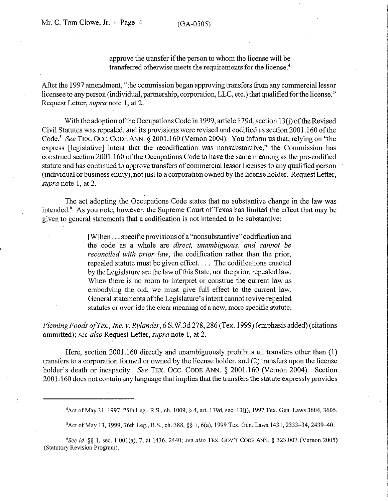approve the transfer if the person to whom the license will be transferred otherwise meets the requirements for the license.<sup>4</sup>

After the 1997 amendment, "the commission began approving transfers from any commercial lessor licensee to any person (individual, partnership, corporation, LLC, etc.) that qualified for the license." Request Letter, supra note 1, at 2.

With the adoption of the Occupations Code in 1999, article 179d, section 13(j) of the Revised Civil Statutes was repealed, and its provisions were revised and codified as section 2001.160 of the Code.<sup>5</sup> See TEX. OCC. CODE ANN. § 2001.160 (Vernon 2004). You inform us that, relying on "the express [legislative] intent that the recodification was nonsubstantive," the Commission has construed section 2001.160 of the Occupations Code to have the same meaning as the pre-codified statute and has continued to approve transfers of commercial lessor licenses to any qualified person (individual or business entity), notjust to a corporation owned by the license holder. Request Letter, supra note 1, at 2.

The act adopting the Occupations Code states that no substantive change in the law was intended.6 As you note, however, the Supreme Court of Texas has limited the effect that may be given to general statements that a codification is not intended to be substantive:

> [W]hen  $\dots$  specific provisions of a "nonsubstantive" codification and the code as a whole *are direct, unambiguous, and cannot be reconciled with* prior law, the codification rather than the prior, repealed statute must be given effect.  $\ldots$  The codifications enacted by the Legislature are the law of this State, not the prior, repealed law. When there is no room to interpret or construe the current law as embodying the old, we must give fall effect to the current law. General statements of the Legislature's intent cannot revive repealed statutes or override the clear meaning of a new, more specific statute.

*FlemingFoods of Tex., Inc. v. Rylander,* 6 S.W.3d 278,286 (Tex. 1999) (emphasis added) (citations ommitted); see also Request Letter, *supra* note 1, at 2.

Here, section 2001.160 directly and unambiguously prohibits all transfers other than (1) transfers to a corporation formed or owned by the license holder, and (2) transfers upon the license holder's death or incapacity. See TEX. OCC. CODE ANN. § 2001.160 (Vernon 2004). Section 200 1.160 does not contain any language that implies that the transfers the statute expressly provides

4 Act of May 31, 1997, 75th Leg., R.S., ch. 1009, § 4, art. 179d, sec. 13(j), 1997 Tex. Gen. Laws 3604, 3605.

<sup>5</sup> Act of May 13, 1999, 76th Leg., R.S., ch. 388, §§ 1, 6(a), 1999 Tex. Gen. Laws 1431, 2333–34, 2439–40.

*"See id. \$5* 1, sec. 1.001(a), 7, at 1436, 2440; see also TEX. GOV'T CODE ANN. 5 323.007 (Vemon 2005) (Statutory Revision Program).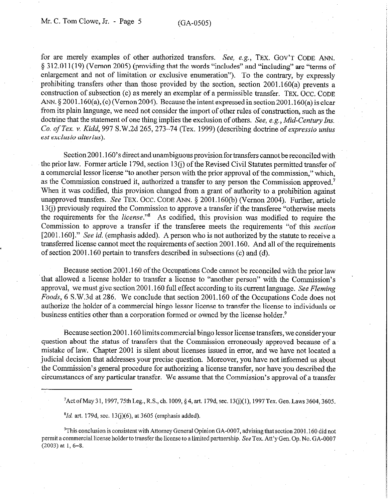for are merely examples of other authorized transfers. See, e.g., TEX. GOV'T CODE ANN. 5 3 12.011(19) (Vernon 2005) (providing that the words "includes" and "including" are "terms of enlargement and not of limitation or exclusive enumeration"). To the contrary, by expressly prohibiting transfers other than those provided by the section, section 2001.160(a) prevents a construction of subsection (c) as merely an exemplar of a permissible transfer. TEX. Occ. CODE ANN. § 2001.160(a), (c) (Vernon 2004). Because the intent expressed in section 2001.160(a) is clear from its plain language, we need not consider the import of other rules of construction, such as the doctrine that the statement of one thing implies the exclusion of others. See, e.g., Mid-Century Ins. *Co. of Tex. v. Kidd, 997* S.W.2d 265,273-74 (Tex. 1999) (descrtbmg doctrine of *expressio unius est exclusio alterius).* 

Section 2001.160's direct and unambiguous provision for transfers cannot be reconciled with the prior law. Former article 179d, section 13(j) of the Revised Civil Statutes permitted transfer of a commercial lessor license "to another person with the prior approval of the commission," which, as the Commission construed it, authorized a transfer to any person the Commission approved.7 When it was codified, this provision changed from a grant of authority to a prohibition against unapproved transfers. See TEX. OCC. CODE ANN. § 2001.160(b) (Vernon 2004). Further, article 13(i) previously required the Commission to approve a transfer if the transferee "otherwise meets the requirements for the *license*."<sup>8</sup> As codified, this provision was modified to require the Commission to approve a transfer if the transferee meets the requirements "of this *section*  [2001,160]." See *id.* (emphasis added). A person who is not authorized by the statute to receive a transferred license cannot meet the requirements of section 2001.160. And all of the requirements of section 2001.160 pertain to transfers described in subsections (c) and (d).

Because section 2001.160 of the Occupations Code cannot be reconciled with the prior law that allowed a license holder to transfer a license to "another person" with the Commission's approval, we must give section 2001.160 full effect according to its current language. See *Fleming Foods,* 6 S.W.3d at 286. We conclude that section 2001.160 of the Occupations Code does not authorize the holder of a commercial bingo lessor license to transfer the license to individuals or business entities other than a corporation formed or owned by the license holder.<sup>9</sup>

Because section 2001.160 limits commercial bingo lessor license transfers, we consider your question about the status of transfers that the Commission erroneously approved because of a mistake of law. Chapter 2001 is silent about licenses issued in error, and we have not located a judicial decision that addresses your precise question. Moreover, you have not informed us about the Commission's general procedure for authorizing a license transfer, nor have you described the circumstances of any particular transfer. We assume that the Commission's approval of a transfer

<sup>7</sup> Act of May 31, 1997, 75th Leg., R.S., ch. 1009, § 4, art. 179d, sec. 13(j)(1), 1997 Tex. Gen. Laws 3604, 3605.

*\*Id.* art. 179d, sec. 13(j)(6), at 3605 (emphasis added).

<sup>9</sup>This conclusion is consistent with Attorney General Opinion GA-0007, advising that section 2001.160 did not permit a commercial license holder to transfer the license to a limited partnership. See Tex. Att'y Gen. Op. No. GA-0007 *(2003)at* 1, 6-8.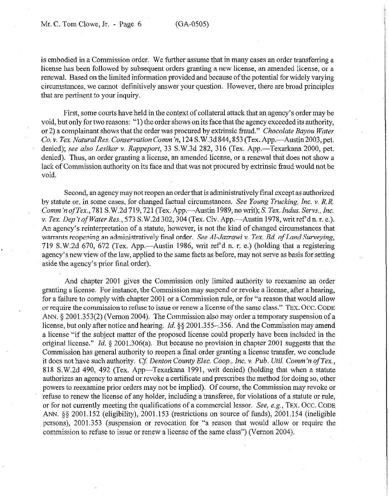is embodied in a Commission order. We further assume that in many cases an order transferring a license has been followed by subsequent orders granting a new license, an amended license, or a renewal. Based on the limited information provided and because of the potential for widely varying circumstances, we cannot definitively answer your question. However, there are broad principles that are pertinent to your inquiry.

First, some courts have held in the context of collateral attack that an agency's order may be void, but only for two reasons: "1) the order shows on its face that the agency exceeded its authority, or 2) a complainant shows that the order was procured by extrinsic fraud." *Chocolate Bayou Water Co. v. Tex. Natural Res. Conservation Comm'n,* 124 S.W.3d 844, 853 (Tex. App.—Austin 2003, pet. denied); *see also Lesikar v. Rappeport*, 33 S.W.3d 282, 316 (Tex. App.—Texarkana 2000, pet. denied). Thus, an order granting a license, an amended license, or a renewal that does not show a lack of Commission authority on its face and that was not procured by extrinsic fraud would not be void.

Second, an agency may not reopen an order that is administratively final except as authorized by statute or, in some cases, for changed factual circumstances. *See Young Trucking, Inc. v. R.R.*  Comm 'n of *Tex.*, 781 S.W.2d 719, 721 (Tex. App.—Austin 1989, no writ); S. Tex. *Indus. Servs., Inc.* v. Tex. *Dep't of Water Res.,* 573 S.W.2d 302,304 (Tex. Civ. App.-Austin 1978, writ ref d n. r. e.). An agency's reinterpretation of a statute, however, is not the kind of changed circumstances that warrants reopening an administratively final order. *See Al-Jazrawi v. Tex. Bd. of Land Surveying,* 719 S.W.2d 670, 672 (Tex. App.—Austin 1986, writ ref'd n. r. e.) (holding that a registering agency's new view of the law, applied to the same facts as before, may not serve as basis for setting aside the agency's prior final order).

And chapter 2001 gives the Commission only limited authority to reexamine an order granting a license. For instance, the Commission may suspend or revoke a license, after a hearing, for a failure to comply with chapter 2001 or a Commission rule, or for "a reason that would allow or require the commission to refuse to issue or renew a license of the same class." **TEX. OCC. CODE**  ANN. § 2001.353(2) (Vernon 2004). The Commission also may order a temporary suspension of a license, but only after notice and hearing. *Id.* 5s 2001.355-,356. And the Commission may amend a license "if the subject matter of the proposed license could properly have been included in the original license." *Id.* 5 2001.306(a). But because no provision in chapter 2001 suggests that the Commission has general authority to reopen a final order granting a license transfer, we conclude it does not have such authority. *Cf Denton County Elec. Coop., Inc. Y. Pub. Ufil. Comm'n of Tex.,*  818 S.W.2d 490, 492 (Tex. App—Texarkana 1991, writ denied) (holding that when a statute authorizes an agency to amend or revoke a certificate and prescribes the method for doing so, other powers to reexamine prior orders may not be implied). Of course, the Commission may revoke or refuse to renew the license of any holder, including a transferee, for violations of a statute or rule, or for not currently meeting the qualifications of a commercial lessor. See, e.g., **TEX. OCC. CODE**  ANN. §§ 2001.152 (eligibility), 2001.153 (restrictions on source of funds), 2001.154 (ineligible persons), 2001.353 (suspension or revocation for "a reason that would allow or require the commission to refuse to issue or renew a license of the same class") (Vernon 2004).